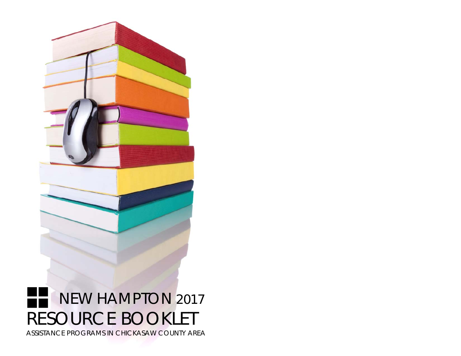

ASSISTANCE PROGRAMS IN CHICKASAW COUNTY AREA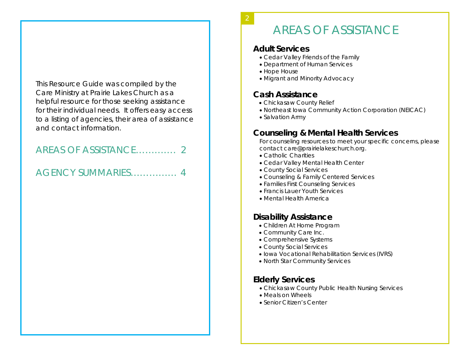This Resource Guide was compiled by the Care Ministry at Prairie Lakes Church as a helpful resource for those seeking assistance for their individual needs. It offers easy access to a listing of agencies, their area of assistance and contact information.

## AREAS OF ASSISTANCE…………. 2

## AGENCY SUMMARIES…………… 4

# AREAS OF ASSISTANCE

#### **Adult Services**

2

- Cedar Valley Friends of the Family
- Department of Human Services
- Hope House
- Migrant and Minority Advocacy

## **Cash Assistance**

- Chickasaw County Relief
- Northeast Iowa Community Action Corporation (NEICAC)
- Salvation Army

## **Counseling & Mental Health Services**

For counseling resources to meet your specific concerns, please contact *care@prairielakeschurch.org.* 

- Catholic Charities
- Cedar Valley Mental Health Center
- County Social Services
- Counseling & Family Centered Services
- Families First Counseling Services
- Francis Lauer Youth Services
- Mental Health America

## **Disability Assistance**

- Children At Home Program
- Community Care Inc.
- Comprehensive Systems
- County Social Services
- Iowa Vocational Rehabilitation Services (IVRS)
- North Star Community Services

## **Elderly Services**

- Chickasaw County Public Health Nursing Services
- Meals on Wheels
- Senior Citizen's Center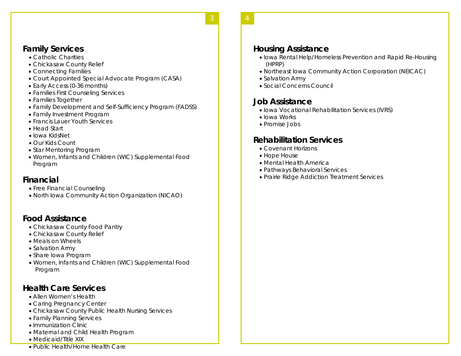#### **Family Services**

- Catholic Charities
- Chickasaw County Relief
- Connecting Families
- Court Appointed Special Advocate Program (CASA)
- Early Access (0-36 months)
- Families First Counseling Services
- Families Together
- Family Development and Self-Sufficiency Program (FADSS)
- Family Investment Program
- Francis Lauer Youth Services
- Head Start
- Iowa KidsNet
- Our Kids Count
- Star Mentoring Program
- Women, Infants and Children (WIC) Supplemental Food Program

#### **Financial**

- Free Financial Counseling
- North Iowa Community Action Organization (NICAO)

#### **Food Assistance**

- Chickasaw County Food Pantry
- Chickasaw County Relief
- Meals on Wheels
- Salvation Army
- Share Iowa Program
- Women, Infants and Children (WIC) Supplemental Food Program

#### **Health Care Services**

- Allen Women's Health
- Caring Pregnancy Center
- Chickasaw County Public Health Nursing Services
- Family Planning Services
- Immunization Clinic
- Maternal and Child Health Program
- Medicaid/Title XIX
- Public Health/Home Health Care

#### **Housing Assistance**

- Iowa Rental Help/Homeless Prevention and Rapid Re-Housing (HPRP)
- Northeast Iowa Community Action Corporation (NEICAC)
- Salvation Army
- Social Concerns Council

#### **Job Assistance**

- Iowa Vocational Rehabilitation Services (IVRS)
- $\bullet$  Iowa Works
- Promise Jobs

#### **Rehabilitation Services**

- Covenant Horizons
- Hope House
- Mental Health America
- Pathways Behavioral Services
- Prairie Ridge Addiction Treatment Services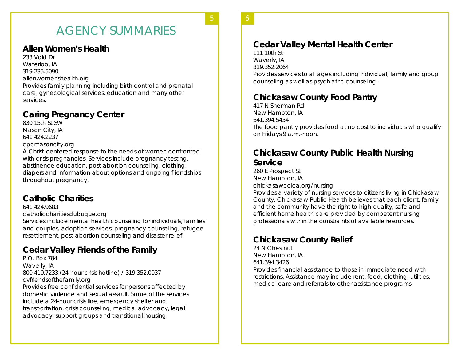# AGENCY SUMMARIES

**4** 5

#### **Allen Women's Health**

233 Vold Dr Waterloo, IA 319.235.5090 allenwomenshealth.org Provides family planning including birth control and prenatal care, gynecological services, education and many other services.

#### **Caring Pregnancy Center**

830 15th St SW Mason City, IA 641.424.2237 cpcmasoncity.org A Christ-centered response to the needs of women confronted with crisis pregnancies. Services include pregnancy testing, abstinence education, post-abortion counseling, clothing,

diapers and information about options and ongoing friendships throughout pregnancy.

#### **Catholic Charities**

641.424.9683

catholiccharitiesdubuque.org

Services include mental health counseling for individuals, families and couples, adoption services, pregnancy counseling, refugee resettlement, post-abortion counseling and disaster relief.

#### **Cedar Valley Friends of the Family**

P.O. Box 784 Waverly, IA 800.410.7233 (24-hour crisis hotline) / 319.352.0037 cvfriendsofthefamily.org Provides free confidential services for persons affected by domestic violence and sexual assault. Some of the services include a 24-hour crisis line, emergency shelter and transportation, crisis counseling, medical advocacy, legal advocacy, support groups and transitional housing.

6 **5** 

#### **Cedar Valley Mental Health Center**

111 10th St Waverly, IA 319.352.2064 Provides services to all ages including individual, family and group counseling as well as psychiatric counseling.

#### **Chickasaw County Food Pantry**

417 N Sherman Rd New Hampton, IA 641.394.5454 The food pantry provides food at no cost to individuals who qualify on Fridays 9 a.m.-noon.

#### **Chickasaw County Public Health Nursing Service**

260 E Prospect St New Hampton, IA chickasawcoica.org/nursing Provides a variety of nursing services to citizens living in Chickasaw County. Chickasaw Public Health believes that each client, family and the community have the right to high-quality, safe and efficient home health care provided by competent nursing professionals within the constraints of available resources.

#### **Chickasaw County Relief**

24 N Chestnut New Hampton, IA 641.394.3426 Provides financial assistance to those in immediate need with restrictions. Assistance may include rent, food, clothing, utilities, medical care and referrals to other assistance programs.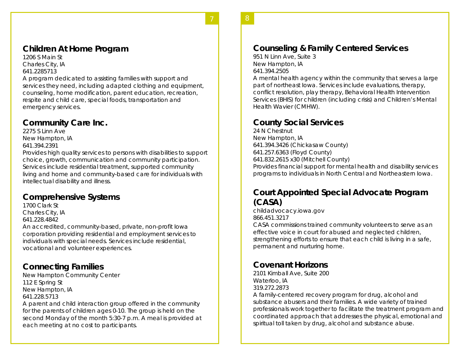#### **Children At Home Program**

1206 S Main St Charles City, IA 641.2285713

A program dedicated to assisting families with support and services they need, including adapted clothing and equipment, counseling, home modification, parent education, recreation, respite and child care, special foods, transportation and emergency services.

**6** 7

#### **Community Care Inc.**

2275 S Linn Ave New Hampton, IA 641.394.2391

Provides high quality services to persons with disabilities to support choice, growth, communication and community participation. Services include residential treatment, supported community living and home and community-based care for individuals with intellectual disability and illness.

#### **Comprehensive Systems**

1700 Clark St Charles City, IA

641.228.4842

An accredited, community-based, private, non-profit Iowa corporation providing residential and employment services to individuals with special needs. Services include residential, vocational and volunteer experiences.

#### **Connecting Families**

New Hampton Community Center 112 E Spring St New Hampton, IA 641.228.5713

A parent and child interaction group offered in the community for the parents of children ages 0-10. The group is held on the second Monday of the month 5:30-7 p.m. A meal is provided at each meeting at no cost to participants.

#### **Counseling & Family Centered Services**

951 N Linn Ave, Suite 3 New Hampton, IA 641.394.2505

A mental health agency within the community that serves a large part of northeast Iowa. Services include evaluations, therapy, conflict resolution, play therapy, Behavioral Health Intervention Services (BHIS) for children (including crisis) and Children's Mental Health Wavier (CMHW).

8 **7** 

#### **County Social Services**

24 N Chestnut New Hampton, IA 641.394.3426 (Chickasaw County) 641.257.6363 (Floyd County) 641.832.2615 x30 (Mitchell County) Provides financial support for mental health and disability services programs to individuals in North Central and Northeastern Iowa.

#### **Court Appointed Special Advocate Program (CASA)**

childadvocacy.iowa.gov 866.451.3217

CASA commissions trained community volunteers to serve as an effective voice in court for abused and neglected children, strengthening efforts to ensure that each child is living in a safe, permanent and nurturing home.

#### **Covenant Horizons**

2101 Kimball Ave, Suite 200 Waterloo, IA 319.272.2873

A family-centered recovery program for drug, alcohol and substance abusers and their families. A wide variety of trained professionals work together to facilitate the treatment program and coordinated approach that addresses the physical, emotional and spiritual toll taken by drug, alcohol and substance abuse.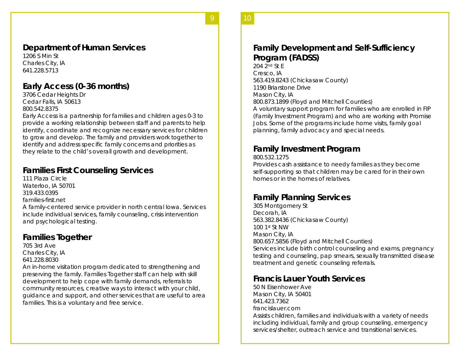#### **Department of Human Services**

1206 S Min St Charles City, IA 641.228.5713

#### **Early Access (0-36 months)**

3706 Cedar Heights Dr Cedar Falls, IA 50613 800.542.8375

Early Access is a partnership for families and children ages 0-3 to provide a working relationship between staff and parents to help identify, coordinate and recognize necessary services for children to grow and develop. The family and providers work together to identify and address specific family concerns and priorities as they relate to the child's overall growth and development.

2 <sup>9</sup>

#### **Families First Counseling Services**

111 Plaza Circle Waterloo, IA 50701 319.433.0395 families-first.net A family-centered service provider in north central Iowa. Services include individual services, family counseling, crisis intervention and psychological testing.

#### **Families Together**

705 3rd Ave Charles City, IA 641.228.8030

An in-home visitation program dedicated to strengthening and preserving the family. Families Together staff can help with skill development to help cope with family demands, referrals to community resources, creative ways to interact with your child, guidance and support, and other services that are useful to area families. This is a voluntary and free service.

#### **Family Development and Self-Sufficiency Program (FADSS)**

10 **9** 

204 2nd St E Cresco, IA 563.419.8243 (Chickasaw County) 1190 Briarstone Drive Mason City, IA 800.873.1899 (Floyd and Mitchell Counties) A voluntary support program for families who are enrolled in FIP

(Family Investment Program) and who are working with Promise Jobs. Some of the programs include home visits, family goal planning, family advocacy and special needs.

#### **Family Investment Program**

#### 800.532.1275

Provides cash assistance to needy families as they become self-supporting so that children may be cared for in their own homes or in the homes of relatives.

#### **Family Planning Services**

305 Montgomery St Decorah, IA 563.382.8436 (Chickasaw County) 100 1st St NW Mason City, IA 800.657.5856 (Floyd and Mitchell Counties) Services include birth control counseling and exams, pregnancy testing and counseling, pap smears, sexually transmitted disease treatment and genetic counseling referrals.

#### **Francis Lauer Youth Services**

50 N Eisenhower Ave Mason City, IA 50401 641.423.7362 francislauer.com

Assists children, families and individuals with a variety of needs including individual, family and group counseling, emergency services/shelter, outreach service and transitional services.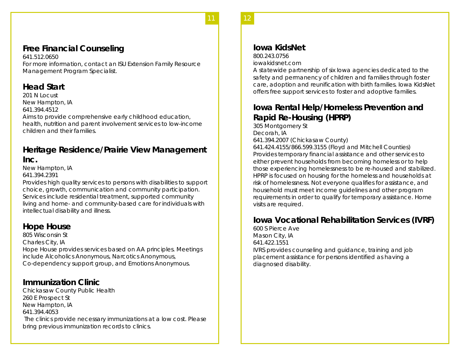#### **Free Financial Counseling**

641.512.0650 For more information, contact an ISU Extension Family Resource Management Program Specialist.

**10** 11

#### **Head Start**

201 N Locust New Hampton, IA 641.394.4512 Aims to provide comprehensive early childhood education, health, nutrition and parent involvement services to low-income children and their families.

#### **Heritage Residence/Prairie View Management Inc.**

New Hampton, IA

641.394.2391

Provides high quality services to persons with disabilities to support choice, growth, communication and community participation. Services include residential treatment, supported community living and home- and community-based care for individuals with intellectual disability and illness.

#### **Hope House**

805 Wisconsin St Charles City, IA Hope House provides services based on AA principles. Meetings include Alcoholics Anonymous, Narcotics Anonymous, Co-dependency support group, and Emotions Anonymous.

#### **Immunization Clinic**

Chickasaw County Public Health 260 E Prospect St New Hampton, IA 641.394.4053 The clinics provide necessary immunizations at a low cost. Please bring previous immunization records to clinics.

#### **Iowa KidsNet**

800.243.0756 iowakidsnet.com

A statewide partnership of six Iowa agencies dedicated to the safety and permanency of children and families through foster care, adoption and reunification with birth families. Iowa KidsNet offers free support services to foster and adoptive families.

#### **Iowa Rental Help/Homeless Prevention and Rapid Re-Housing (HPRP)**

305 Montgomery St Decorah, IA 641.394.2007 (Chickasaw County) 641.424.4155/866.599.3155 (Floyd and Mitchell Counties) Provides temporary financial assistance and other services to either prevent households from becoming homeless or to help those experiencing homelessness to be re-housed and stabilized. HPRP is focused on housing for the homeless and households at risk of homelessness. Not everyone qualifies for assistance, and household must meet income guidelines and other program requirements in order to qualify for temporary assistance. Home visits are required.

#### **Iowa Vocational Rehabilitation Services (IVRF)**

600 S Pierce Ave Mason City, IA 641.422.1551 IVRS provides counseling and guidance, training and job placement assistance for persons identified as having a diagnosed disability.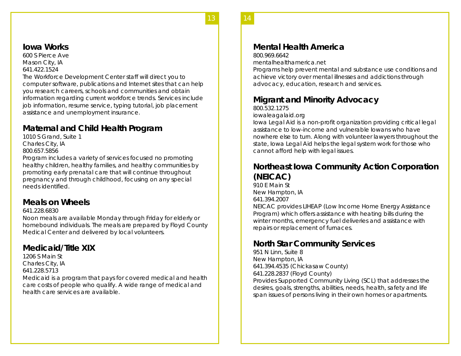14

#### **Iowa Works**

600 S Pierce Ave Mason City, IA 641.422.1524

The Workforce Development Center staff will direct you to computer software, publications and Internet sites that can help you research careers, schools and communities and obtain information regarding current workforce trends. Services include job information, resume service, typing tutorial, job placement assistance and unemployment insurance.

#### **Maternal and Child Health Program**

1010 S Grand, Suite 1 Charles City, IA 800.657.5856

Program includes a variety of services focused no promoting healthy children, healthy families, and healthy communities by promoting early prenatal care that will continue throughout pregnancy and through childhood, focusing on any special needs identified.

#### **Meals on Wheels**

#### 641.228.6830

Noon meals are available Monday through Friday for elderly or homebound individuals. The meals are prepared by Floyd County Medical Center and delivered by local volunteers.

#### **Medicaid/Title XIX**

1206 S Main St Charles City, IA 641.228.5713 Medicaid is a program that pays for covered medical and health care costs of people who qualify. A wide range of medical and health care services are available.

#### **Mental Health America**

#### 800.969.6642

mentalhealthamerica.net

Programs help prevent mental and substance use conditions and achieve victory over mental illnesses and addictions through advocacy, education, research and services.

#### **Migrant and Minority Advocacy**

800.532.1275

iowaleagalaid.org

Iowa Legal Aid is a non-profit organization providing critical legal assistance to low-income and vulnerable Iowans who have nowhere else to turn. Along with volunteer lawyers throughout the state, Iowa Legal Aid helps the legal system work for those who cannot afford help with legal issues.

#### **Northeast Iowa Community Action Corporation (NEICAC)**

910 E Main St New Hampton, IA 641.394.2007

NEICAC provides LIHEAP (Low Income Home Energy Assistance Program) which offers assistance with heating bills during the winter months, emergency fuel deliveries and assistance with repairs or replacement of furnaces.

#### **North Star Community Services**

951 N Linn, Suite 8 New Hampton, IA 641.394.4535 (Chickasaw County) 641.228.2837 (Floyd County) Provides Supported Community Living (SCL) that addresses the

desires, goals, strengths, abilities, needs, health, safety and life span issues of persons living in their own homes or apartments.

13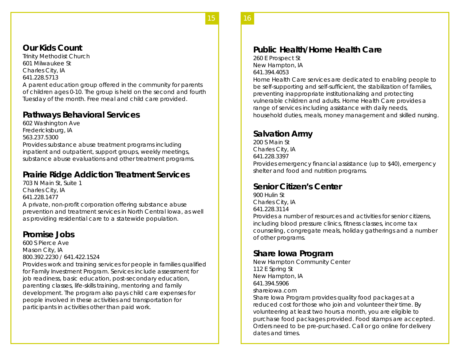16

15

#### **Our Kids Count**

Trinity Methodist Church 601 Milwaukee St Charles City, IA 641.228.5713 A parent education group offered in the community for parents of children ages 0-10. The group is held on the second and fourth Tuesday of the month. Free meal and child care provided.

#### **Pathways Behavioral Services**

602 Washington Ave Fredericksburg, IA 563.237.5300 Provides substance abuse treatment programs including inpatient and outpatient, support groups, weekly meetings, substance abuse evaluations and other treatment programs.

#### **Prairie Ridge Addiction Treatment Services**

703 N Main St, Suite 1 Charles City, IA 641.228.1477 A private, non-profit corporation offering substance abuse prevention and treatment services in North Central Iowa, as well as providing residential care to a statewide population.

#### **Promise Jobs**

600 S Pierce Ave Mason City, IA 800.392.2230 / 641.422.1524

Provides work and training services for people in families qualified for Family Investment Program. Services include assessment for job readiness, basic education, post-secondary education, parenting classes, life-skills training, mentoring and family development. The program also pays child care expenses for people involved in these activities and transportation for participants in activities other than paid work.

#### **Public Health/Home Health Care**

260 E Prospect St New Hampton, IA 641.394.4053

Home Health Care services are dedicated to enabling people to be self-supporting and self-sufficient, the stabilization of families, preventing inappropriate institutionalizing and protecting vulnerable children and adults. Home Health Care provides a range of services including assistance with daily needs, household duties, meals, money management and skilled nursing.

#### **Salvation Army**

200 S Main St Charles City, IA 641.228.3397 Provides emergency financial assistance (up to \$40), emergency shelter and food and nutrition programs.

#### **Senior Citizen's Center**

900 Hulin St Charles City, IA 641.228.3114 Provides a number of resources and activities for senior citizens, including blood pressure clinics, fitness classes, income tax counseling, congregate meals, holiday gatherings and a number of other programs.

#### **Share Iowa Program**

New Hampton Community Center 112 E Spring St New Hampton, IA 641.394.5906 shareiowa.com Share Iowa Program provides quality food packages at a reduced cost for those who join and volunteer their time. By volunteering at least two hours a month, you are eligible to purchase food packages provided. Food stamps are accepted. Orders need to be pre-purchased. Call or go online for delivery dates and times.